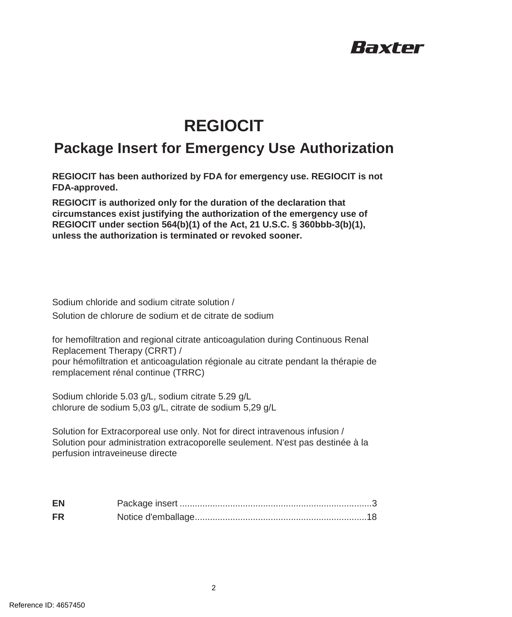# Raxter

# **REGIOCIT**

## **Package Insert for Emergency Use Authorization**

**REGIOCIT has been authorized by FDA for emergency use. REGIOCIT is not FDA-approved.**

**REGIOCIT is authorized only for the duration of the declaration that circumstances exist justifying the authorization of the emergency use of REGIOCIT under section 564(b)(1) of the Act, 21 U.S.C. § 360bbb-3(b)(1), unless the authorization is terminated or revoked sooner.**

Sodium chloride and sodium citrate solution / Solution de chlorure de sodium et de citrate de sodium

for hemofiltration and regional citrate anticoagulation during Continuous Renal Replacement Therapy (CRRT) / pour hémofiltration et anticoagulation régionale au citrate pendant la thérapie de remplacement rénal continue (TRRC)

Sodium chloride 5.03 g/L, sodium citrate 5.29 g/L chlorure de sodium 5,03 g/L, citrate de sodium 5,29 g/L

Solution for Extracorporeal use only. Not for direct intravenous infusion / Solution pour administration extracoporelle seulement. N'est pas destinée à la perfusion intraveineuse directe

| EN        |  |
|-----------|--|
| <b>FR</b> |  |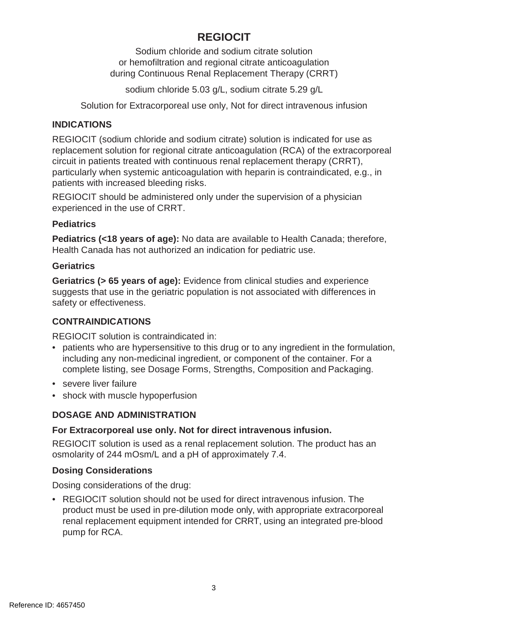## **REGIOCIT**

Sodium chloride and sodium citrate solution or hemofiltration and regional citrate anticoagulation during Continuous Renal Replacement Therapy (CRRT)

sodium chloride 5.03 g/L, sodium citrate 5.29 g/L

Solution for Extracorporeal use only, Not for direct intravenous infusion

## **INDICATIONS**

REGIOCIT (sodium chloride and sodium citrate) solution is indicated for use as replacement solution for regional citrate anticoagulation (RCA) of the extracorporeal circuit in patients treated with continuous renal replacement therapy (CRRT), particularly when systemic anticoagulation with heparin is contraindicated, e.g., in patients with increased bleeding risks.

REGIOCIT should be administered only under the supervision of a physician experienced in the use of CRRT.

## **Pediatrics**

**Pediatrics (<18 years of age):** No data are available to Health Canada; therefore, Health Canada has not authorized an indication for pediatric use.

## **Geriatrics**

**Geriatrics (> 65 years of age):** Evidence from clinical studies and experience suggests that use in the geriatric population is not associated with differences in safety or effectiveness.

## **CONTRAINDICATIONS**

REGIOCIT solution is contraindicated in:

- patients who are hypersensitive to this drug or to any ingredient in the formulation, including any non-medicinal ingredient, or component of the container. For a complete listing, see Dosage Forms, Strengths, Composition and Packaging.
- severe liver failure
- shock with muscle hypoperfusion

## **DOSAGE AND ADMINISTRATION**

## **For Extracorporeal use only. Not for direct intravenous infusion.**

REGIOCIT solution is used as a renal replacement solution. The product has an osmolarity of 244 mOsm/L and a pH of approximately 7.4.

## **Dosing Considerations**

Dosing considerations of the drug:

• REGIOCIT solution should not be used for direct intravenous infusion. The product must be used in pre-dilution mode only, with appropriate extracorporeal renal replacement equipment intended for CRRT, using an integrated pre-blood pump for RCA.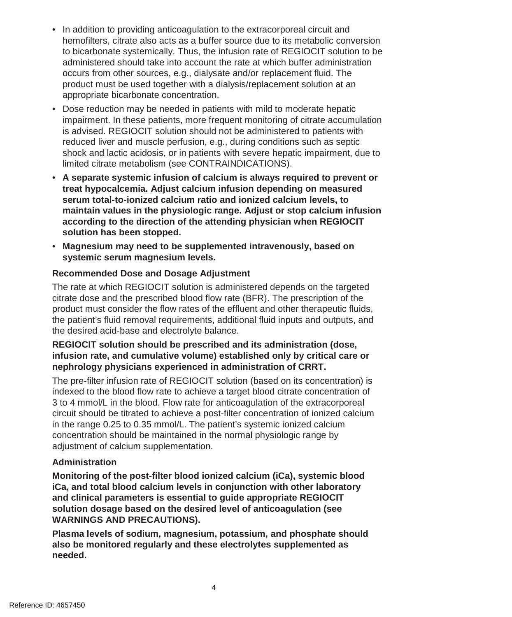- In addition to providing anticoagulation to the extracorporeal circuit and hemofilters, citrate also acts as a buffer source due to its metabolic conversion to bicarbonate systemically. Thus, the infusion rate of REGIOCIT solution to be administered should take into account the rate at which buffer administration occurs from other sources, e.g., dialysate and/or replacement fluid. The product must be used together with a dialysis/replacement solution at an appropriate bicarbonate concentration.
- Dose reduction may be needed in patients with mild to moderate hepatic impairment. In these patients, more frequent monitoring of citrate accumulation is advised. REGIOCIT solution should not be administered to patients with reduced liver and muscle perfusion, e.g., during conditions such as septic shock and lactic acidosis, or in patients with severe hepatic impairment, due to limited citrate metabolism (see CONTRAINDICATIONS).
- **A separate systemic infusion of calcium is always required to prevent or treat hypocalcemia. Adjust calcium infusion depending on measured serum total-to-ionized calcium ratio and ionized calcium levels, to maintain values in the physiologic range. Adjust or stop calcium infusion according to the direction of the attending physician when REGIOCIT solution has been stopped.**
- **Magnesium may need to be supplemented intravenously, based on systemic serum magnesium levels.**

## **Recommended Dose and Dosage Adjustment**

The rate at which REGIOCIT solution is administered depends on the targeted citrate dose and the prescribed blood flow rate (BFR). The prescription of the product must consider the flow rates of the effluent and other therapeutic fluids, the patient's fluid removal requirements, additional fluid inputs and outputs, and the desired acid-base and electrolyte balance.

## **REGIOCIT solution should be prescribed and its administration (dose, infusion rate, and cumulative volume) established only by critical care or nephrology physicians experienced in administration of CRRT.**

The pre-filter infusion rate of REGIOCIT solution (based on its concentration) is indexed to the blood flow rate to achieve a target blood citrate concentration of 3 to 4 mmol/L in the blood. Flow rate for anticoagulation of the extracorporeal circuit should be titrated to achieve a post-filter concentration of ionized calcium in the range 0.25 to 0.35 mmol/L. The patient's systemic ionized calcium concentration should be maintained in the normal physiologic range by adjustment of calcium supplementation.

#### **Administration**

**Monitoring of the post-filter blood ionized calcium (iCa), systemic blood iCa, and total blood calcium levels in conjunction with other laboratory and clinical parameters is essential to guide appropriate REGIOCIT solution dosage based on the desired level of anticoagulation (see WARNINGS AND PRECAUTIONS).**

**Plasma levels of sodium, magnesium, potassium, and phosphate should also be monitored regularly and these electrolytes supplemented as needed.**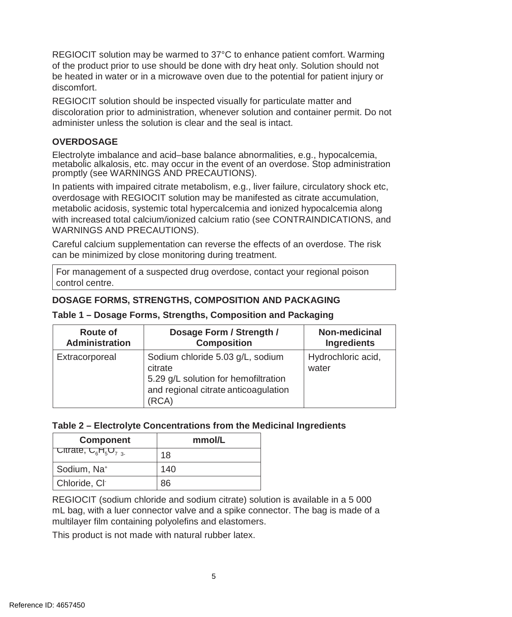REGIOCIT solution may be warmed to 37°C to enhance patient comfort. Warming of the product prior to use should be done with dry heat only. Solution should not be heated in water or in a microwave oven due to the potential for patient injury or discomfort.

REGIOCIT solution should be inspected visually for particulate matter and discoloration prior to administration, whenever solution and container permit. Do not administer unless the solution is clear and the seal is intact.

### **OVERDOSAGE**

Electrolyte imbalance and acid–base balance abnormalities, e.g., hypocalcemia, metabolic alkalosis, etc. may occur in the event of an overdose. Stop administration promptly (see WARNINGS AND PRECAUTIONS).

In patients with impaired citrate metabolism, e.g., liver failure, circulatory shock etc, overdosage with REGIOCIT solution may be manifested as citrate accumulation, metabolic acidosis, systemic total hypercalcemia and ionized hypocalcemia along with increased total calcium/ionized calcium ratio (see CONTRAINDICATIONS, and WARNINGS AND PRECAUTIONS).

Careful calcium supplementation can reverse the effects of an overdose. The risk can be minimized by close monitoring during treatment.

For management of a suspected drug overdose, contact your regional poison control centre.

## **DOSAGE FORMS, STRENGTHS, COMPOSITION AND PACKAGING**

| Route of              | Dosage Form / Strength /                                                                                                             | Non-medicinal               |
|-----------------------|--------------------------------------------------------------------------------------------------------------------------------------|-----------------------------|
| <b>Administration</b> | <b>Composition</b>                                                                                                                   | Ingredients                 |
| Extracorporeal        | Sodium chloride 5.03 g/L, sodium<br>citrate<br>5.29 g/L solution for hemofiltration<br>and regional citrate anticoagulation<br>(RCA) | Hydrochloric acid,<br>water |

## **Table 1 – Dosage Forms, Strengths, Composition and Packaging**

#### **Table 2 – Electrolyte Concentrations from the Medicinal Ingredients**

| <b>Component</b>         | mmol/L |  |
|--------------------------|--------|--|
| Citrate, $C_6H_5O_{7.3}$ | 18     |  |
| Sodium, Na <sup>+</sup>  | 140    |  |
| Chloride, Cl             | 86     |  |

REGIOCIT (sodium chloride and sodium citrate) solution is available in a 5 000 mL bag, with a luer connector valve and a spike connector. The bag is made of a multilayer film containing polyolefins and elastomers.

This product is not made with natural rubber latex.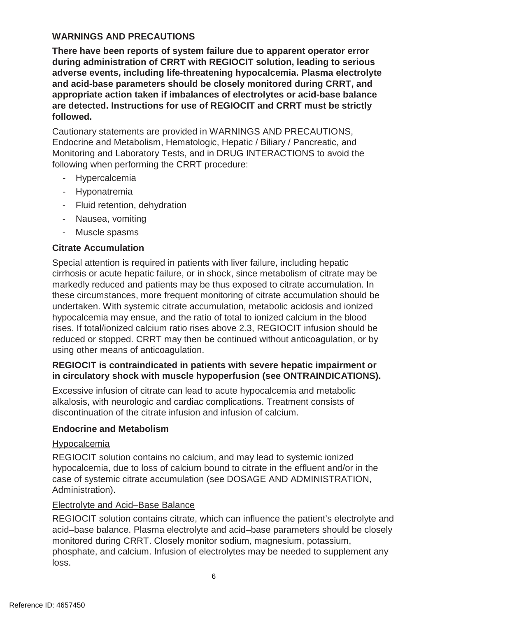#### **WARNINGS AND PRECAUTIONS**

**There have been reports of system failure due to apparent operator error during administration of CRRT with REGIOCIT solution, leading to serious adverse events, including life-threatening hypocalcemia. Plasma electrolyte and acid-base parameters should be closely monitored during CRRT, and appropriate action taken if imbalances of electrolytes or acid-base balance are detected. Instructions for use of REGIOCIT and CRRT must be strictly followed.**

Cautionary statements are provided in WARNINGS AND PRECAUTIONS, Endocrine and Metabolism, Hematologic, Hepatic / Biliary / Pancreatic, and Monitoring and Laboratory Tests, and in DRUG INTERACTIONS to avoid the following when performing the CRRT procedure:

- Hypercalcemia
- Hyponatremia
- Fluid retention, dehydration
- Nausea, vomiting
- Muscle spasms

#### **Citrate Accumulation**

Special attention is required in patients with liver failure, including hepatic cirrhosis or acute hepatic failure, or in shock, since metabolism of citrate may be markedly reduced and patients may be thus exposed to citrate accumulation. In these circumstances, more frequent monitoring of citrate accumulation should be undertaken. With systemic citrate accumulation, metabolic acidosis and ionized hypocalcemia may ensue, and the ratio of total to ionized calcium in the blood rises. If total/ionized calcium ratio rises above 2.3, REGIOCIT infusion should be reduced or stopped. CRRT may then be continued without anticoagulation, or by using other means of anticoagulation.

#### **REGIOCIT is contraindicated in patients with severe hepatic impairment or in circulatory shock with muscle hypoperfusion (see ONTRAINDICATIONS).**

Excessive infusion of citrate can lead to acute hypocalcemia and metabolic alkalosis, with neurologic and cardiac complications. Treatment consists of discontinuation of the citrate infusion and infusion of calcium.

#### **Endocrine and Metabolism**

#### Hypocalcemia

REGIOCIT solution contains no calcium, and may lead to systemic ionized hypocalcemia, due to loss of calcium bound to citrate in the effluent and/or in the case of systemic citrate accumulation (see DOSAGE AND ADMINISTRATION, Administration).

#### Electrolyte and Acid–Base Balance

REGIOCIT solution contains citrate, which can influence the patient's electrolyte and acid–base balance. Plasma electrolyte and acid–base parameters should be closely monitored during CRRT. Closely monitor sodium, magnesium, potassium, phosphate, and calcium. Infusion of electrolytes may be needed to supplement any loss.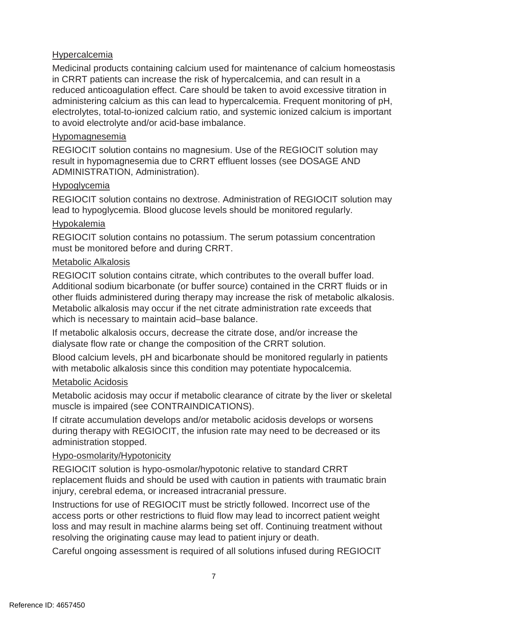#### Hypercalcemia

Medicinal products containing calcium used for maintenance of calcium homeostasis in CRRT patients can increase the risk of hypercalcemia, and can result in a reduced anticoagulation effect. Care should be taken to avoid excessive titration in administering calcium as this can lead to hypercalcemia. Frequent monitoring of pH, electrolytes, total-to-ionized calcium ratio, and systemic ionized calcium is important to avoid electrolyte and/or acid-base imbalance.

#### Hypomagnesemia

REGIOCIT solution contains no magnesium. Use of the REGIOCIT solution may result in hypomagnesemia due to CRRT effluent losses (see DOSAGE AND ADMINISTRATION, Administration).

#### Hypoglycemia

REGIOCIT solution contains no dextrose. Administration of REGIOCIT solution may lead to hypoglycemia. Blood glucose levels should be monitored regularly.

#### Hypokalemia

REGIOCIT solution contains no potassium. The serum potassium concentration must be monitored before and during CRRT.

#### Metabolic Alkalosis

REGIOCIT solution contains citrate, which contributes to the overall buffer load. Additional sodium bicarbonate (or buffer source) contained in the CRRT fluids or in other fluids administered during therapy may increase the risk of metabolic alkalosis. Metabolic alkalosis may occur if the net citrate administration rate exceeds that which is necessary to maintain acid–base balance.

If metabolic alkalosis occurs, decrease the citrate dose, and/or increase the dialysate flow rate or change the composition of the CRRT solution.

Blood calcium levels, pH and bicarbonate should be monitored regularly in patients with metabolic alkalosis since this condition may potentiate hypocalcemia.

#### Metabolic Acidosis

Metabolic acidosis may occur if metabolic clearance of citrate by the liver or skeletal muscle is impaired (see CONTRAINDICATIONS).

If citrate accumulation develops and/or metabolic acidosis develops or worsens during therapy with REGIOCIT, the infusion rate may need to be decreased or its administration stopped.

#### Hypo-osmolarity/Hypotonicity

REGIOCIT solution is hypo-osmolar/hypotonic relative to standard CRRT replacement fluids and should be used with caution in patients with traumatic brain injury, cerebral edema, or increased intracranial pressure.

Instructions for use of REGIOCIT must be strictly followed. Incorrect use of the access ports or other restrictions to fluid flow may lead to incorrect patient weight loss and may result in machine alarms being set off. Continuing treatment without resolving the originating cause may lead to patient injury or death.

Careful ongoing assessment is required of all solutions infused during REGIOCIT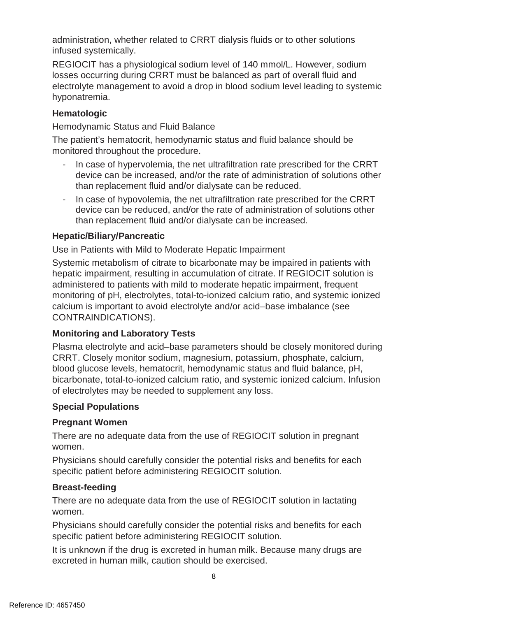administration, whether related to CRRT dialysis fluids or to other solutions infused systemically.

REGIOCIT has a physiological sodium level of 140 mmol/L. However, sodium losses occurring during CRRT must be balanced as part of overall fluid and electrolyte management to avoid a drop in blood sodium level leading to systemic hyponatremia.

## **Hematologic**

#### Hemodynamic Status and Fluid Balance

The patient's hematocrit, hemodynamic status and fluid balance should be monitored throughout the procedure.

- In case of hypervolemia, the net ultrafiltration rate prescribed for the CRRT device can be increased, and/or the rate of administration of solutions other than replacement fluid and/or dialysate can be reduced.
- In case of hypovolemia, the net ultrafiltration rate prescribed for the CRRT device can be reduced, and/or the rate of administration of solutions other than replacement fluid and/or dialysate can be increased.

## **Hepatic/Biliary/Pancreatic**

#### Use in Patients with Mild to Moderate Hepatic Impairment

Systemic metabolism of citrate to bicarbonate may be impaired in patients with hepatic impairment, resulting in accumulation of citrate. If REGIOCIT solution is administered to patients with mild to moderate hepatic impairment, frequent monitoring of pH, electrolytes, total-to-ionized calcium ratio, and systemic ionized calcium is important to avoid electrolyte and/or acid–base imbalance (see CONTRAINDICATIONS).

#### **Monitoring and Laboratory Tests**

Plasma electrolyte and acid–base parameters should be closely monitored during CRRT. Closely monitor sodium, magnesium, potassium, phosphate, calcium, blood glucose levels, hematocrit, hemodynamic status and fluid balance, pH, bicarbonate, total-to-ionized calcium ratio, and systemic ionized calcium. Infusion of electrolytes may be needed to supplement any loss.

#### **Special Populations**

#### **Pregnant Women**

There are no adequate data from the use of REGIOCIT solution in pregnant women.

Physicians should carefully consider the potential risks and benefits for each specific patient before administering REGIOCIT solution.

#### **Breast-feeding**

There are no adequate data from the use of REGIOCIT solution in lactating women.

Physicians should carefully consider the potential risks and benefits for each specific patient before administering REGIOCIT solution.

It is unknown if the drug is excreted in human milk. Because many drugs are excreted in human milk, caution should be exercised.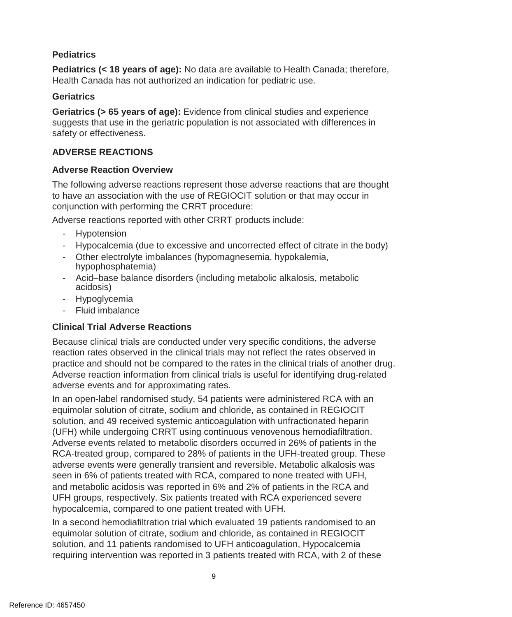#### **Pediatrics**

**Pediatrics (< 18 years of age):** No data are available to Health Canada; therefore, Health Canada has not authorized an indication for pediatric use.

#### **Geriatrics**

**Geriatrics (> 65 years of age):** Evidence from clinical studies and experience suggests that use in the geriatric population is not associated with differences in safety or effectiveness.

#### **ADVERSE REACTIONS**

#### **Adverse Reaction Overview**

The following adverse reactions represent those adverse reactions that are thought to have an association with the use of REGIOCIT solution or that may occur in conjunction with performing the CRRT procedure:

Adverse reactions reported with other CRRT products include:

- Hypotension
- Hypocalcemia (due to excessive and uncorrected effect of citrate in the body)
- Other electrolyte imbalances (hypomagnesemia, hypokalemia, hypophosphatemia)
- Acid–base balance disorders (including metabolic alkalosis, metabolic acidosis)
- Hypoglycemia
- Fluid imbalance

## **Clinical Trial Adverse Reactions**

Because clinical trials are conducted under very specific conditions, the adverse reaction rates observed in the clinical trials may not reflect the rates observed in practice and should not be compared to the rates in the clinical trials of another drug. Adverse reaction information from clinical trials is useful for identifying drug-related adverse events and for approximating rates.

In an open-label randomised study, 54 patients were administered RCA with an equimolar solution of citrate, sodium and chloride, as contained in REGIOCIT solution, and 49 received systemic anticoagulation with unfractionated heparin (UFH) while undergoing CRRT using continuous venovenous hemodiafiltration. Adverse events related to metabolic disorders occurred in 26% of patients in the RCA-treated group, compared to 28% of patients in the UFH-treated group. These adverse events were generally transient and reversible. Metabolic alkalosis was seen in 6% of patients treated with RCA, compared to none treated with UFH, and metabolic acidosis was reported in 6% and 2% of patients in the RCA and UFH groups, respectively. Six patients treated with RCA experienced severe hypocalcemia, compared to one patient treated with UFH.

In a second hemodiafiltration trial which evaluated 19 patients randomised to an equimolar solution of citrate, sodium and chloride, as contained in REGIOCIT solution, and 11 patients randomised to UFH anticoagulation, Hypocalcemia requiring intervention was reported in 3 patients treated with RCA, with 2 of these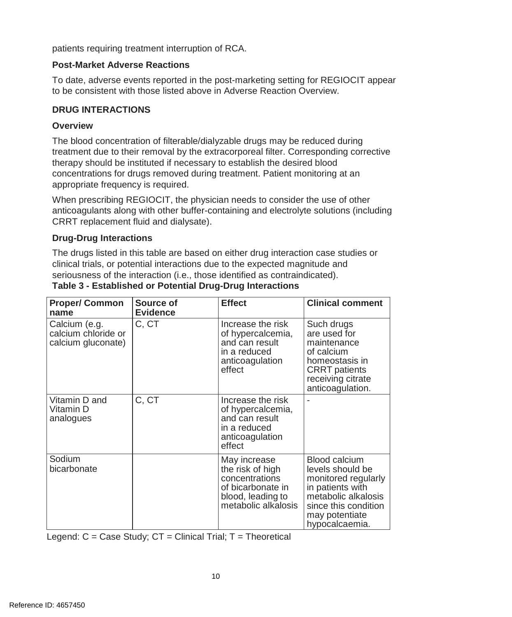patients requiring treatment interruption of RCA.

#### **Post-Market Adverse Reactions**

To date, adverse events reported in the post-marketing setting for REGIOCIT appear to be consistent with those listed above in Adverse Reaction Overview.

#### **DRUG INTERACTIONS**

#### **Overview**

The blood concentration of filterable/dialyzable drugs may be reduced during treatment due to their removal by the extracorporeal filter. Corresponding corrective therapy should be instituted if necessary to establish the desired blood concentrations for drugs removed during treatment. Patient monitoring at an appropriate frequency is required.

When prescribing REGIOCIT, the physician needs to consider the use of other anticoagulants along with other buffer-containing and electrolyte solutions (including CRRT replacement fluid and dialysate).

#### **Drug-Drug Interactions**

The drugs listed in this table are based on either drug interaction case studies or clinical trials, or potential interactions due to the expected magnitude and seriousness of the interaction (i.e., those identified as contraindicated).

| <b>Proper/ Common</b><br>name                              | Source of<br><b>Evidence</b> | <b>Effect</b>                                                                                                       | <b>Clinical comment</b>                                                                                                                                                |
|------------------------------------------------------------|------------------------------|---------------------------------------------------------------------------------------------------------------------|------------------------------------------------------------------------------------------------------------------------------------------------------------------------|
| Calcium (e.g.<br>calcium chloride or<br>calcium gluconate) | C, CT                        | Increase the risk<br>of hypercalcemia,<br>and can result<br>in a reduced<br>anticoagulation<br>effect               | Such drugs<br>are used for<br>maintenance<br>of calcium<br>homeostasis in<br><b>CRRT</b> patients<br>receiving citrate<br>anticoagulation.                             |
| Vitamin D and<br>Vitamin D<br>analogues                    | C, CT                        | Increase the risk<br>of hypercalcemia,<br>and can result<br>in a reduced<br>anticoagulation<br>effect               |                                                                                                                                                                        |
| Sodium<br>bicarbonate                                      |                              | May increase<br>the risk of high<br>concentrations<br>of bicarbonate in<br>blood, leading to<br>metabolic alkalosis | <b>Blood calcium</b><br>levels should be<br>monitored regularly<br>in patients with<br>metabolic alkalosis<br>since this condition<br>may potentiate<br>hypocalcaemia. |

#### **Table 3 - Established or Potential Drug-Drug Interactions**

Legend:  $C = Case Study$ ;  $CT = Clinical Trial$ ;  $T = Theoretical$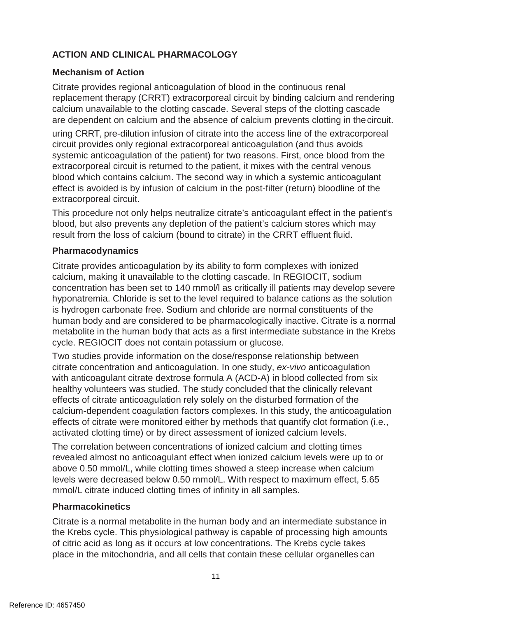## **ACTION AND CLINICAL PHARMACOLOGY**

#### **Mechanism of Action**

Citrate provides regional anticoagulation of blood in the continuous renal replacement therapy (CRRT) extracorporeal circuit by binding calcium and rendering calcium unavailable to the clotting cascade. Several steps of the clotting cascade are dependent on calcium and the absence of calcium prevents clotting in thecircuit.

uring CRRT, pre-dilution infusion of citrate into the access line of the extracorporeal circuit provides only regional extracorporeal anticoagulation (and thus avoids systemic anticoagulation of the patient) for two reasons. First, once blood from the extracorporeal circuit is returned to the patient, it mixes with the central venous blood which contains calcium. The second way in which a systemic anticoagulant effect is avoided is by infusion of calcium in the post-filter (return) bloodline of the extracorporeal circuit.

This procedure not only helps neutralize citrate's anticoagulant effect in the patient's blood, but also prevents any depletion of the patient's calcium stores which may result from the loss of calcium (bound to citrate) in the CRRT effluent fluid.

#### **Pharmacodynamics**

Citrate provides anticoagulation by its ability to form complexes with ionized calcium, making it unavailable to the clotting cascade. In REGIOCIT, sodium concentration has been set to 140 mmol/l as critically ill patients may develop severe hyponatremia. Chloride is set to the level required to balance cations as the solution is hydrogen carbonate free. Sodium and chloride are normal constituents of the human body and are considered to be pharmacologically inactive. Citrate is a normal metabolite in the human body that acts as a first intermediate substance in the Krebs cycle. REGIOCIT does not contain potassium or glucose.

Two studies provide information on the dose/response relationship between citrate concentration and anticoagulation. In one study, *ex-vivo* anticoagulation with anticoagulant citrate dextrose formula A (ACD-A) in blood collected from six healthy volunteers was studied. The study concluded that the clinically relevant effects of citrate anticoagulation rely solely on the disturbed formation of the calcium-dependent coagulation factors complexes. In this study, the anticoagulation effects of citrate were monitored either by methods that quantify clot formation (i.e., activated clotting time) or by direct assessment of ionized calcium levels.

The correlation between concentrations of ionized calcium and clotting times revealed almost no anticoagulant effect when ionized calcium levels were up to or above 0.50 mmol/L, while clotting times showed a steep increase when calcium levels were decreased below 0.50 mmol/L. With respect to maximum effect, 5.65 mmol/L citrate induced clotting times of infinity in all samples.

#### **Pharmacokinetics**

Citrate is a normal metabolite in the human body and an intermediate substance in the Krebs cycle. This physiological pathway is capable of processing high amounts of citric acid as long as it occurs at low concentrations. The Krebs cycle takes place in the mitochondria, and all cells that contain these cellular organelles can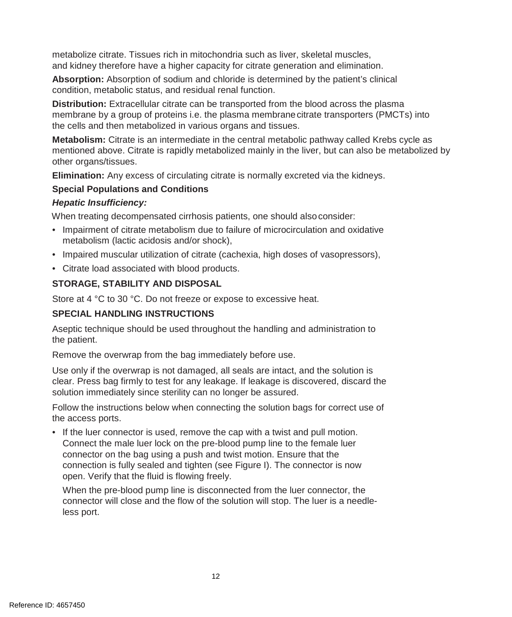metabolize citrate. Tissues rich in mitochondria such as liver, skeletal muscles, and kidney therefore have a higher capacity for citrate generation and elimination.

**Absorption:** Absorption of sodium and chloride is determined by the patient's clinical condition, metabolic status, and residual renal function.

**Distribution:** Extracellular citrate can be transported from the blood across the plasma membrane by a group of proteins i.e. the plasma membranecitrate transporters (PMCTs) into the cells and then metabolized in various organs and tissues.

**Metabolism:** Citrate is an intermediate in the central metabolic pathway called Krebs cycle as mentioned above. Citrate is rapidly metabolized mainly in the liver, but can also be metabolized by other organs/tissues.

**Elimination:** Any excess of circulating citrate is normally excreted via the kidneys.

## **Special Populations and Conditions**

#### *Hepatic Insufficiency:*

When treating decompensated cirrhosis patients, one should alsoconsider:

- Impairment of citrate metabolism due to failure of microcirculation and oxidative metabolism (lactic acidosis and/or shock),
- Impaired muscular utilization of citrate (cachexia, high doses of vasopressors),
- Citrate load associated with blood products.

## **STORAGE, STABILITY AND DISPOSAL**

Store at 4 °C to 30 °C. Do not freeze or expose to excessive heat.

## **SPECIAL HANDLING INSTRUCTIONS**

Aseptic technique should be used throughout the handling and administration to the patient.

Remove the overwrap from the bag immediately before use.

Use only if the overwrap is not damaged, all seals are intact, and the solution is clear. Press bag firmly to test for any leakage. If leakage is discovered, discard the solution immediately since sterility can no longer be assured.

Follow the instructions below when connecting the solution bags for correct use of the access ports.

• If the luer connector is used, remove the cap with a twist and pull motion. Connect the male luer lock on the pre-blood pump line to the female luer connector on the bag using a push and twist motion. Ensure that the connection is fully sealed and tighten (see Figure I). The connector is now open. Verify that the fluid is flowing freely.

When the pre-blood pump line is disconnected from the luer connector, the connector will close and the flow of the solution will stop. The luer is a needleless port.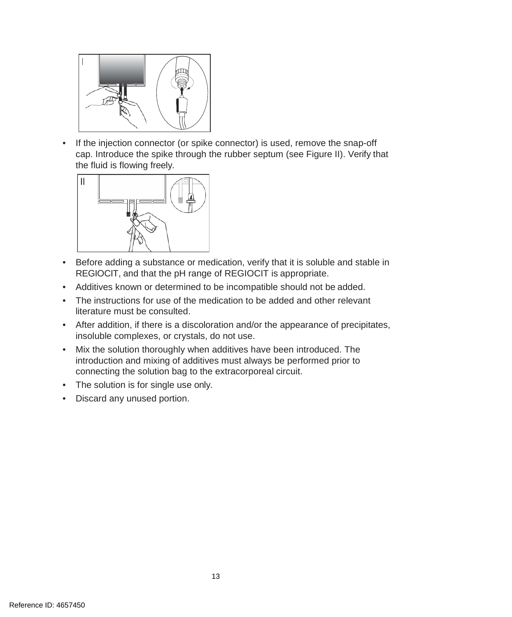

• If the injection connector (or spike connector) is used, remove the snap-off cap. Introduce the spike through the rubber septum (see Figure II). Verify that the fluid is flowing freely.



- Before adding a substance or medication, verify that it is soluble and stable in REGIOCIT, and that the pH range of REGIOCIT is appropriate.
- Additives known or determined to be incompatible should not be added.
- The instructions for use of the medication to be added and other relevant literature must be consulted.
- After addition, if there is a discoloration and/or the appearance of precipitates, insoluble complexes, or crystals, do not use.
- Mix the solution thoroughly when additives have been introduced. The introduction and mixing of additives must always be performed prior to connecting the solution bag to the extracorporeal circuit.
- The solution is for single use only.
- Discard any unused portion.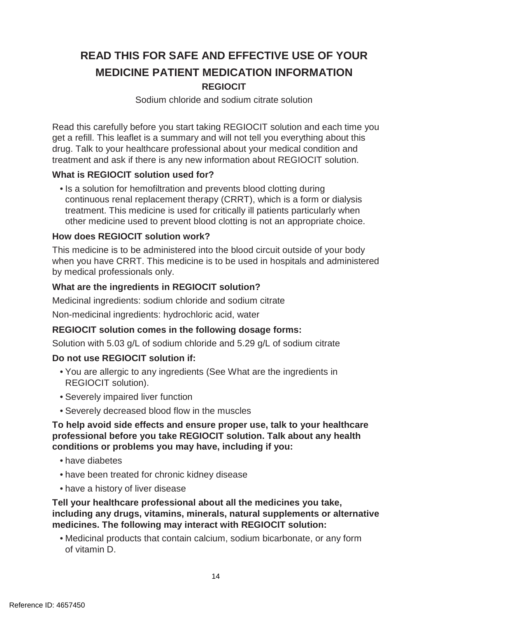## **READ THIS FOR SAFE AND EFFECTIVE USE OF YOUR MEDICINE PATIENT MEDICATION INFORMATION REGIOCIT**

#### Sodium chloride and sodium citrate solution

Read this carefully before you start taking REGIOCIT solution and each time you get a refill. This leaflet is a summary and will not tell you everything about this drug. Talk to your healthcare professional about your medical condition and treatment and ask if there is any new information about REGIOCIT solution.

#### **What is REGIOCIT solution used for?**

• Is a solution for hemofiltration and prevents blood clotting during continuous renal replacement therapy (CRRT), which is a form or dialysis treatment. This medicine is used for critically ill patients particularly when other medicine used to prevent blood clotting is not an appropriate choice.

#### **How does REGIOCIT solution work?**

This medicine is to be administered into the blood circuit outside of your body when you have CRRT. This medicine is to be used in hospitals and administered by medical professionals only.

#### **What are the ingredients in REGIOCIT solution?**

Medicinal ingredients: sodium chloride and sodium citrate

Non-medicinal ingredients: hydrochloric acid, water

#### **REGIOCIT solution comes in the following dosage forms:**

Solution with 5.03 g/L of sodium chloride and 5.29 g/L of sodium citrate

#### **Do not use REGIOCIT solution if:**

- You are allergic to any ingredients (See What are the ingredients in REGIOCIT solution).
- Severely impaired liver function
- Severely decreased blood flow in the muscles

#### **To help avoid side effects and ensure proper use, talk to your healthcare professional before you take REGIOCIT solution. Talk about any health conditions or problems you may have, including if you:**

- have diabetes
- have been treated for chronic kidney disease
- have a history of liver disease

**Tell your healthcare professional about all the medicines you take, including any drugs, vitamins, minerals, natural supplements or alternative medicines. The following may interact with REGIOCIT solution:**

• Medicinal products that contain calcium, sodium bicarbonate, or any form of vitamin D.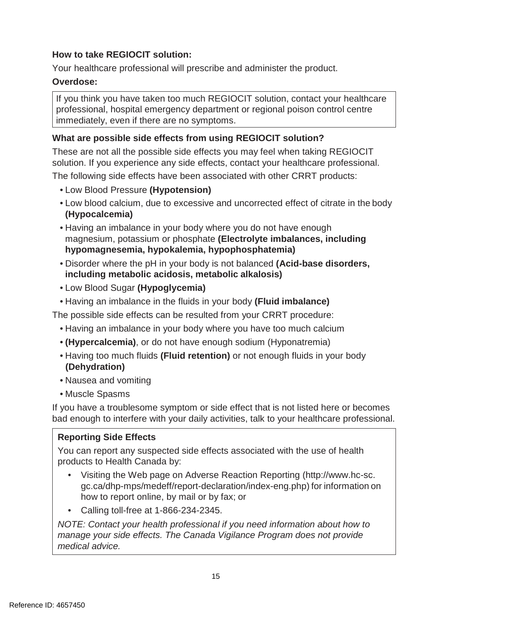### **How to take REGIOCIT solution:**

Your healthcare professional will prescribe and administer the product.

#### **Overdose:**

If you think you have taken too much REGIOCIT solution, contact your healthcare professional, hospital emergency department or regional poison control centre immediately, even if there are no symptoms.

### **What are possible side effects from using REGIOCIT solution?**

These are not all the possible side effects you may feel when taking REGIOCIT solution. If you experience any side effects, contact your healthcare professional. The following side effects have been associated with other CRRT products:

- Low Blood Pressure **(Hypotension)**
- Low blood calcium, due to excessive and uncorrected effect of citrate in the body **(Hypocalcemia)**
- Having an imbalance in your body where you do not have enough magnesium, potassium or phosphate **(Electrolyte imbalances, including hypomagnesemia, hypokalemia, hypophosphatemia)**
- Disorder where the pH in your body is not balanced **(Acid-base disorders, including metabolic acidosis, metabolic alkalosis)**
- Low Blood Sugar **(Hypoglycemia)**
- Having an imbalance in the fluids in your body **(Fluid imbalance)**

The possible side effects can be resulted from your CRRT procedure:

- Having an imbalance in your body where you have too much calcium
- **(Hypercalcemia)**, or do not have enough sodium (Hyponatremia)
- Having too much fluids **(Fluid retention)** or not enough fluids in your body **(Dehydration)**
- Nausea and vomiting
- Muscle Spasms

If you have a troublesome symptom or side effect that is not listed here or becomes bad enough to interfere with your daily activities, talk to your healthcare professional.

#### **Reporting Side Effects**

You can report any suspected side effects associated with the use of health products to Health Canada by:

- Visiting the Web page on Adverse Reaction Reporting (http://www.hc-sc. gc.ca/dhp-mps/medeff/report-declaration/index-eng.php) for information on how to report online, by mail or by fax; or
- Calling toll-free at 1-866-234-2345.

*NOTE: Contact your health professional if you need information about how to manage your side effects. The Canada Vigilance Program does not provide medical advice.*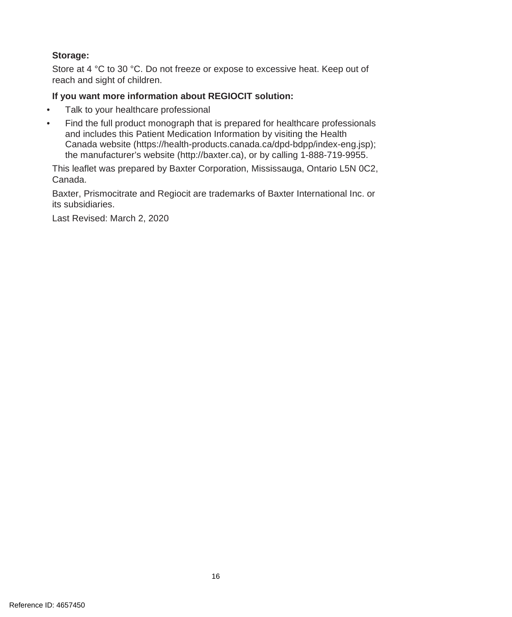#### **Storage:**

Store at 4 °C to 30 °C. Do not freeze or expose to excessive heat. Keep out of reach and sight of children.

#### **If you want more information about REGIOCIT solution:**

- Talk to your healthcare professional
- Find the full product monograph that is prepared for healthcare professionals and includes this Patient Medication Information by visiting the Health Canada website (https://health-products.canada.ca/dpd-bdpp/index-eng.jsp); the manufacturer's website (http://baxter.ca), or by calling 1-888-719-9955.

This leaflet was prepared by Baxter Corporation, Mississauga, Ontario L5N 0C2, Canada.

Baxter, Prismocitrate and Regiocit are trademarks of Baxter International Inc. or its subsidiaries.

Last Revised: March 2, 2020